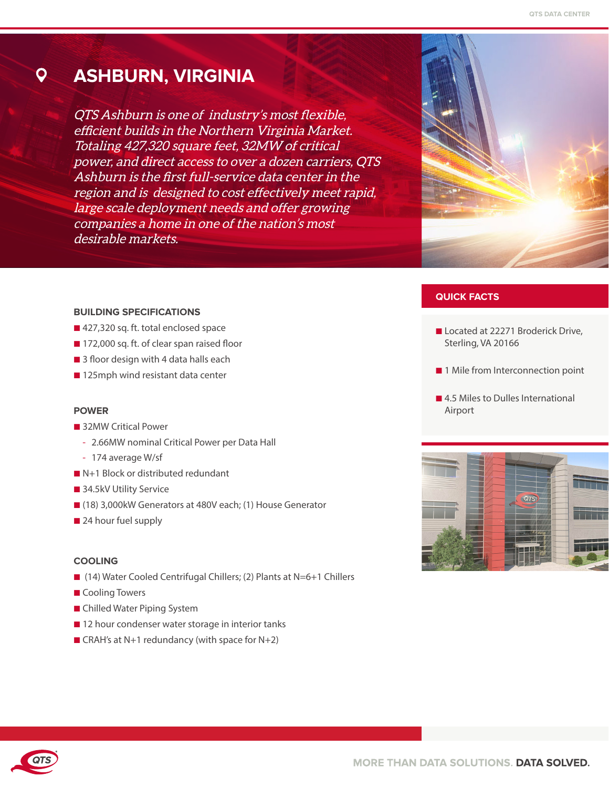#### Q **ASHBURN, VIRGINIA**

QTS Ashburn is one of industry's most flexible, efficient builds in the Northern Virginia Market. Totaling 427,320 square feet, 32MW of critical power, and direct access to over a dozen carriers, QTS Ashburn is the first full-service data center in the region and is designed to cost effectively meet rapid, large scale deployment needs and offer growing companies a home in one of the nation's most desirable markets.



## **QUICK FACTS**

- Located at 22271 Broderick Drive, Sterling, VA 20166
- 1 Mile from Interconnection point
- 4.5 Miles to Dulles International Airport



#### **BUILDING SPECIFICATIONS**

- 427,320 sq. ft. total enclosed space
- 172,000 sq. ft. of clear span raised floor
- 3 floor design with 4 data halls each
- 125mph wind resistant data center

#### **POWER**

- 32MW Critical Power
	- 2.66MW nominal Critical Power per Data Hall
	- 174 average W/sf
- N+1 Block or distributed redundant
- 34.5kV Utility Service
- (18) 3,000kW Generators at 480V each; (1) House Generator
- 24 hour fuel supply

#### **COOLING**

- (14) Water Cooled Centrifugal Chillers; (2) Plants at N=6+1 Chillers
- Cooling Towers
- Chilled Water Piping System
- 12 hour condenser water storage in interior tanks
- CRAH's at N+1 redundancy (with space for N+2)